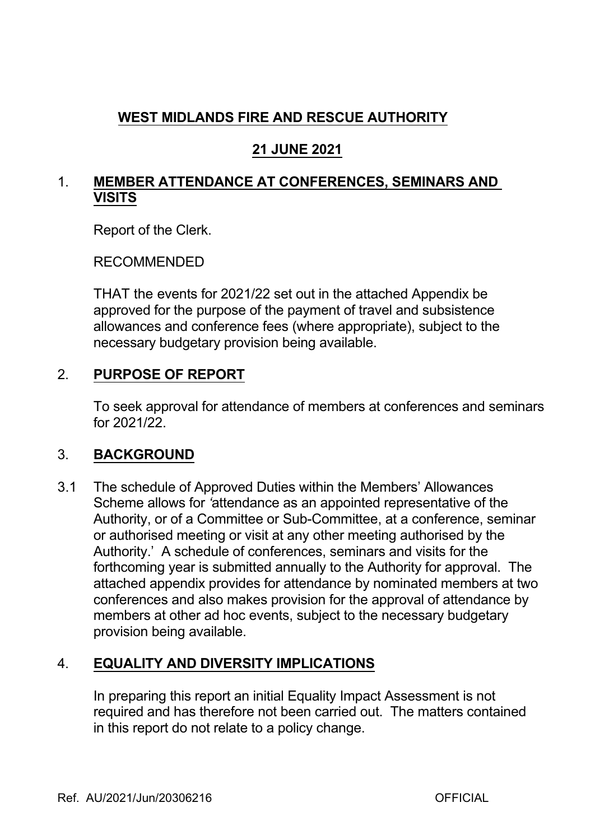# **WEST MIDLANDS FIRE AND RESCUE AUTHORITY**

## **21 JUNE 2021**

### 1. **MEMBER ATTENDANCE AT CONFERENCES, SEMINARS AND VISITS**

Report of the Clerk.

RECOMMENDED

THAT the events for 2021/22 set out in the attached Appendix be approved for the purpose of the payment of travel and subsistence allowances and conference fees (where appropriate), subject to the necessary budgetary provision being available.

## 2. **PURPOSE OF REPORT**

To seek approval for attendance of members at conferences and seminars for 2021/22.

#### 3. **BACKGROUND**

3.1 The schedule of Approved Duties within the Members' Allowances Scheme allows for *'*attendance as an appointed representative of the Authority, or of a Committee or Sub-Committee, at a conference, seminar or authorised meeting or visit at any other meeting authorised by the Authority.' A schedule of conferences, seminars and visits for the forthcoming year is submitted annually to the Authority for approval. The attached appendix provides for attendance by nominated members at two conferences and also makes provision for the approval of attendance by members at other ad hoc events, subject to the necessary budgetary provision being available.

## 4. **EQUALITY AND DIVERSITY IMPLICATIONS**

In preparing this report an initial Equality Impact Assessment is not required and has therefore not been carried out. The matters contained in this report do not relate to a policy change.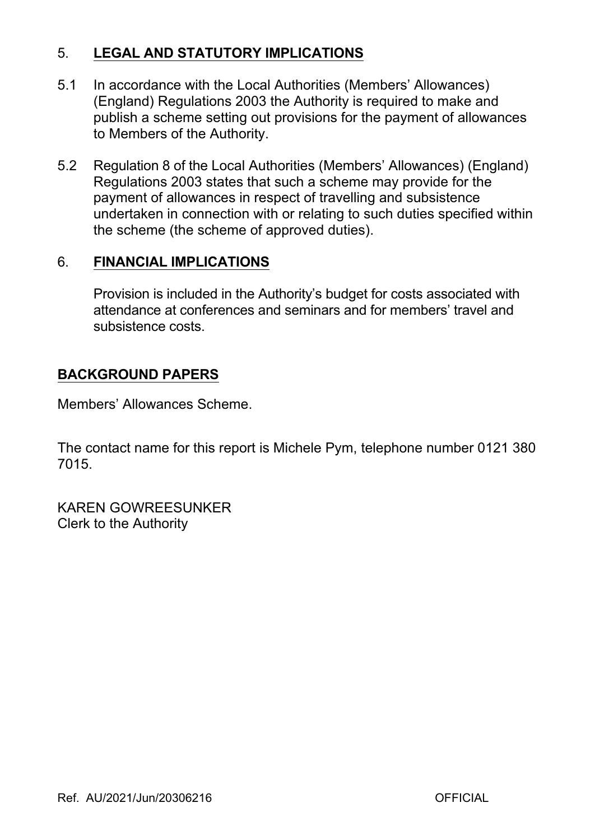## 5. **LEGAL AND STATUTORY IMPLICATIONS**

- 5.1 In accordance with the Local Authorities (Members' Allowances) (England) Regulations 2003 the Authority is required to make and publish a scheme setting out provisions for the payment of allowances to Members of the Authority.
- 5.2 Regulation 8 of the Local Authorities (Members' Allowances) (England) Regulations 2003 states that such a scheme may provide for the payment of allowances in respect of travelling and subsistence undertaken in connection with or relating to such duties specified within the scheme (the scheme of approved duties).

#### 6. **FINANCIAL IMPLICATIONS**

Provision is included in the Authority's budget for costs associated with attendance at conferences and seminars and for members' travel and subsistence costs.

## **BACKGROUND PAPERS**

Members' Allowances Scheme.

The contact name for this report is Michele Pym, telephone number 0121 380 7015.

KAREN GOWREESUNKER Clerk to the Authority